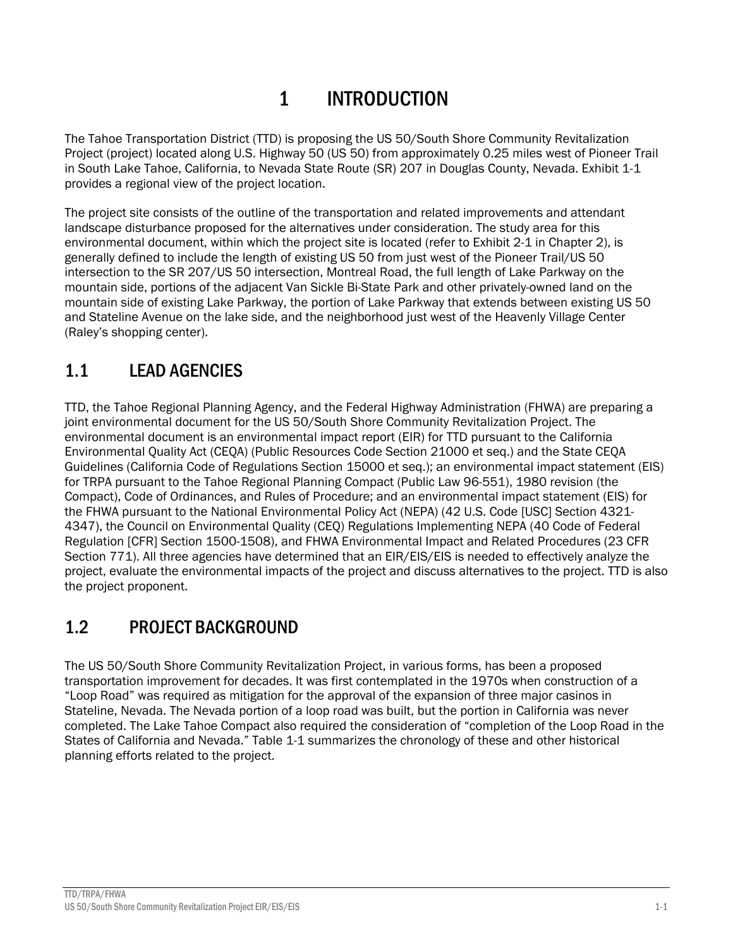# 1 INTRODUCTION

The Tahoe Transportation District (TTD) is proposing the US 50/South Shore Community Revitalization Project (project) located along U.S. Highway 50 (US 50) from approximately 0.25 miles west of Pioneer Trail in South Lake Tahoe, California, to Nevada State Route (SR) 207 in Douglas County, Nevada. Exhibit 1-1 provides a regional view of the project location.

The project site consists of the outline of the transportation and related improvements and attendant landscape disturbance proposed for the alternatives under consideration. The study area for this environmental document, within which the project site is located (refer to Exhibit 2-1 in Chapter 2), is generally defined to include the length of existing US 50 from just west of the Pioneer Trail/US 50 intersection to the SR 207/US 50 intersection, Montreal Road, the full length of Lake Parkway on the mountain side, portions of the adjacent Van Sickle Bi-State Park and other privately-owned land on the mountain side of existing Lake Parkway, the portion of Lake Parkway that extends between existing US 50 and Stateline Avenue on the lake side, and the neighborhood just west of the Heavenly Village Center (Raley's shopping center).

## 1.1 LEAD AGENCIES

TTD, the Tahoe Regional Planning Agency, and the Federal Highway Administration (FHWA) are preparing a joint environmental document for the US 50/South Shore Community Revitalization Project. The environmental document is an environmental impact report (EIR) for TTD pursuant to the California Environmental Quality Act (CEQA) (Public Resources Code Section 21000 et seq.) and the State CEQA Guidelines (California Code of Regulations Section 15000 et seq.); an environmental impact statement (EIS) for TRPA pursuant to the Tahoe Regional Planning Compact (Public Law 96-551), 1980 revision (the Compact), Code of Ordinances, and Rules of Procedure; and an environmental impact statement (EIS) for the FHWA pursuant to the National Environmental Policy Act (NEPA) (42 U.S. Code [USC] Section 4321- 4347), the Council on Environmental Quality (CEQ) Regulations Implementing NEPA (40 Code of Federal Regulation [CFR] Section 1500-1508), and FHWA Environmental Impact and Related Procedures (23 CFR Section 771). All three agencies have determined that an EIR/EIS/EIS is needed to effectively analyze the project, evaluate the environmental impacts of the project and discuss alternatives to the project. TTD is also the project proponent.

## 1.2 PROJECT BACKGROUND

The US 50/South Shore Community Revitalization Project, in various forms, has been a proposed transportation improvement for decades. It was first contemplated in the 1970s when construction of a "Loop Road" was required as mitigation for the approval of the expansion of three major casinos in Stateline, Nevada. The Nevada portion of a loop road was built, but the portion in California was never completed. The Lake Tahoe Compact also required the consideration of "completion of the Loop Road in the States of California and Nevada." Table 1-1 summarizes the chronology of these and other historical planning efforts related to the project.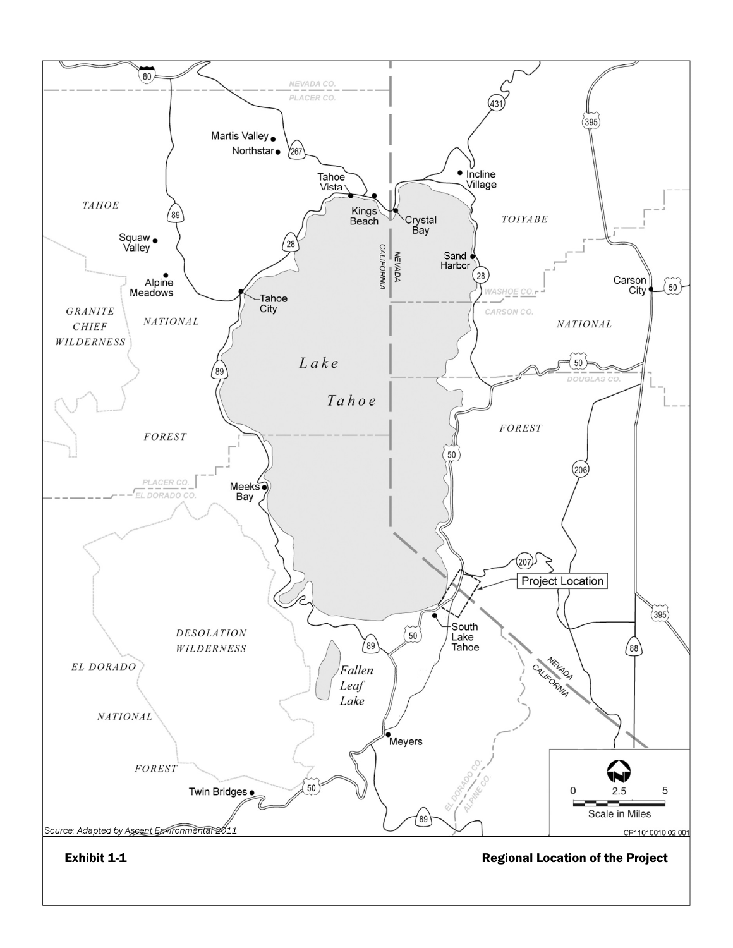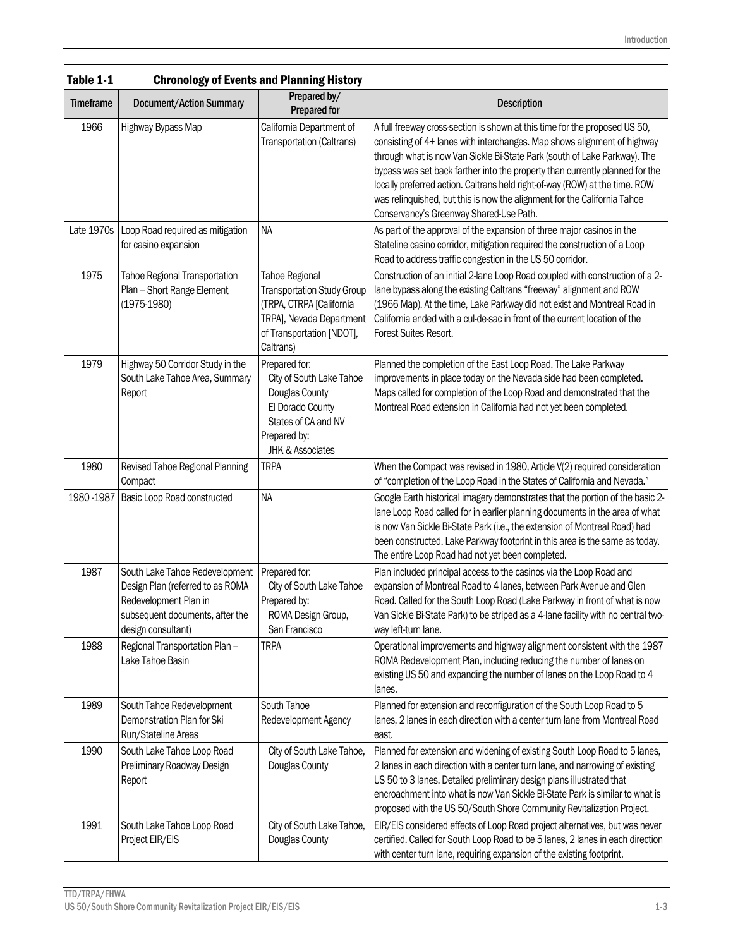| IANIG T-T        |                                                                                                                                                      | Unronology of Events and Planning History                                                                                                             |                                                                                                                                                                                                                                                                                                                                                                                                                                                                                                                           |
|------------------|------------------------------------------------------------------------------------------------------------------------------------------------------|-------------------------------------------------------------------------------------------------------------------------------------------------------|---------------------------------------------------------------------------------------------------------------------------------------------------------------------------------------------------------------------------------------------------------------------------------------------------------------------------------------------------------------------------------------------------------------------------------------------------------------------------------------------------------------------------|
| <b>Timeframe</b> | <b>Document/Action Summary</b>                                                                                                                       | Prepared by/<br><b>Prepared for</b>                                                                                                                   | <b>Description</b>                                                                                                                                                                                                                                                                                                                                                                                                                                                                                                        |
| 1966             | Highway Bypass Map                                                                                                                                   | California Department of<br>Transportation (Caltrans)                                                                                                 | A full freeway cross-section is shown at this time for the proposed US 50,<br>consisting of 4+ lanes with interchanges. Map shows alignment of highway<br>through what is now Van Sickle Bi-State Park (south of Lake Parkway). The<br>bypass was set back farther into the property than currently planned for the<br>locally preferred action. Caltrans held right-of-way (ROW) at the time. ROW<br>was relinquished, but this is now the alignment for the California Tahoe<br>Conservancy's Greenway Shared-Use Path. |
|                  | Late 1970s   Loop Road required as mitigation<br>for casino expansion                                                                                | <b>NA</b>                                                                                                                                             | As part of the approval of the expansion of three major casinos in the<br>Stateline casino corridor, mitigation required the construction of a Loop<br>Road to address traffic congestion in the US 50 corridor.                                                                                                                                                                                                                                                                                                          |
| 1975             | Tahoe Regional Transportation<br>Plan - Short Range Element<br>(1975-1980)                                                                           | Tahoe Regional<br><b>Transportation Study Group</b><br>(TRPA, CTRPA [California<br>TRPA], Nevada Department<br>of Transportation [NDOT],<br>Caltrans) | Construction of an initial 2-lane Loop Road coupled with construction of a 2-<br>lane bypass along the existing Caltrans "freeway" alignment and ROW<br>(1966 Map). At the time, Lake Parkway did not exist and Montreal Road in<br>California ended with a cul-de-sac in front of the current location of the<br>Forest Suites Resort.                                                                                                                                                                                   |
| 1979             | Highway 50 Corridor Study in the<br>South Lake Tahoe Area, Summary<br>Report                                                                         | Prepared for:<br>City of South Lake Tahoe<br>Douglas County<br>El Dorado County<br>States of CA and NV<br>Prepared by:<br><b>JHK &amp; Associates</b> | Planned the completion of the East Loop Road. The Lake Parkway<br>improvements in place today on the Nevada side had been completed.<br>Maps called for completion of the Loop Road and demonstrated that the<br>Montreal Road extension in California had not yet been completed.                                                                                                                                                                                                                                        |
| 1980             | Revised Tahoe Regional Planning<br>Compact                                                                                                           | <b>TRPA</b>                                                                                                                                           | When the Compact was revised in 1980, Article V(2) required consideration<br>of "completion of the Loop Road in the States of California and Nevada."                                                                                                                                                                                                                                                                                                                                                                     |
| 1980 - 1987      | Basic Loop Road constructed                                                                                                                          | <b>NA</b>                                                                                                                                             | Google Earth historical imagery demonstrates that the portion of the basic 2-<br>lane Loop Road called for in earlier planning documents in the area of what<br>is now Van Sickle Bi-State Park (i.e., the extension of Montreal Road) had<br>been constructed. Lake Parkway footprint in this area is the same as today.<br>The entire Loop Road had not yet been completed.                                                                                                                                             |
| 1987             | South Lake Tahoe Redevelopment<br>Design Plan (referred to as ROMA<br>Redevelopment Plan in<br>subsequent documents, after the<br>design consultant) | Prepared for:<br>City of South Lake Tahoe<br>Prepared by:<br>ROMA Design Group,<br>San Francisco                                                      | Plan included principal access to the casinos via the Loop Road and<br>expansion of Montreal Road to 4 lanes, between Park Avenue and Glen<br>Road. Called for the South Loop Road (Lake Parkway in front of what is now<br>Van Sickle Bi-State Park) to be striped as a 4-lane facility with no central two-<br>way left-turn lane.                                                                                                                                                                                      |
| 1988             | Regional Transportation Plan -<br>Lake Tahoe Basin                                                                                                   | <b>TRPA</b>                                                                                                                                           | Operational improvements and highway alignment consistent with the 1987<br>ROMA Redevelopment Plan, including reducing the number of lanes on<br>existing US 50 and expanding the number of lanes on the Loop Road to 4<br>lanes.                                                                                                                                                                                                                                                                                         |
| 1989             | South Tahoe Redevelopment<br>Demonstration Plan for Ski<br>Run/Stateline Areas                                                                       | South Tahoe<br>Redevelopment Agency                                                                                                                   | Planned for extension and reconfiguration of the South Loop Road to 5<br>lanes, 2 lanes in each direction with a center turn lane from Montreal Road<br>east.                                                                                                                                                                                                                                                                                                                                                             |
| 1990             | South Lake Tahoe Loop Road<br>Preliminary Roadway Design<br>Report                                                                                   | City of South Lake Tahoe,<br>Douglas County                                                                                                           | Planned for extension and widening of existing South Loop Road to 5 lanes,<br>2 lanes in each direction with a center turn lane, and narrowing of existing<br>US 50 to 3 lanes. Detailed preliminary design plans illustrated that<br>encroachment into what is now Van Sickle Bi-State Park is similar to what is<br>proposed with the US 50/South Shore Community Revitalization Project.                                                                                                                               |
| 1991             | South Lake Tahoe Loop Road<br>Project EIR/EIS                                                                                                        | City of South Lake Tahoe,<br>Douglas County                                                                                                           | EIR/EIS considered effects of Loop Road project alternatives, but was never<br>certified. Called for South Loop Road to be 5 lanes, 2 lanes in each direction<br>with center turn lane, requiring expansion of the existing footprint.                                                                                                                                                                                                                                                                                    |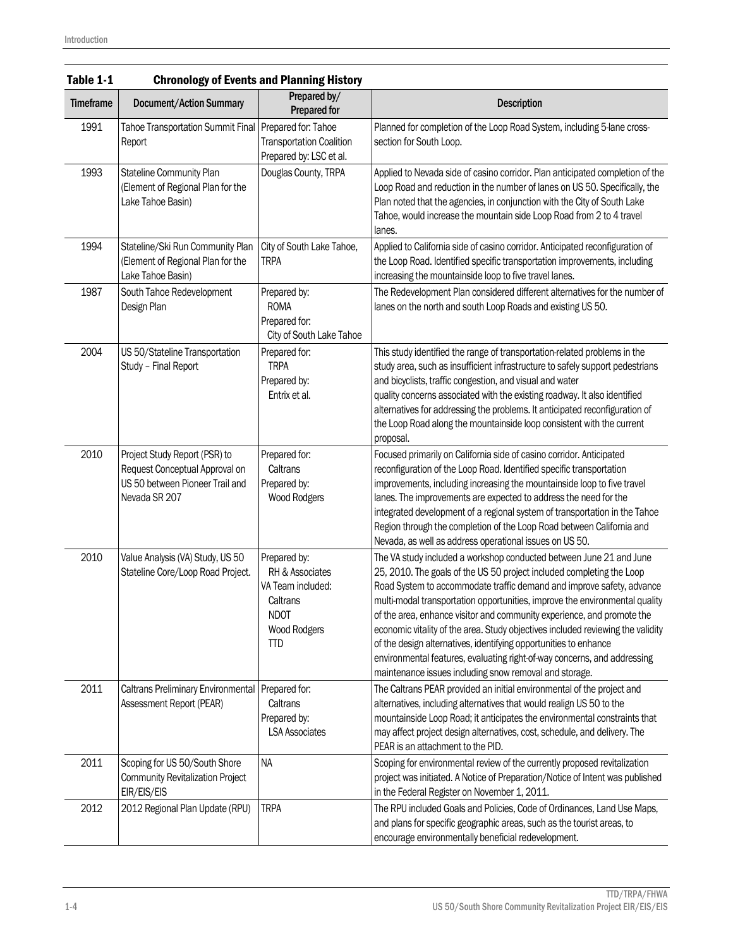| Table 1-1        | <b>Chronology of Events and Planning History</b>                                                                    |                                                                                                               |                                                                                                                                                                                                                                                                                                                                                                                                                                                                                                                                                                                                                                                                             |  |  |  |  |
|------------------|---------------------------------------------------------------------------------------------------------------------|---------------------------------------------------------------------------------------------------------------|-----------------------------------------------------------------------------------------------------------------------------------------------------------------------------------------------------------------------------------------------------------------------------------------------------------------------------------------------------------------------------------------------------------------------------------------------------------------------------------------------------------------------------------------------------------------------------------------------------------------------------------------------------------------------------|--|--|--|--|
| <b>Timeframe</b> | Prepared by/<br><b>Document/Action Summary</b><br><b>Prepared for</b>                                               |                                                                                                               | <b>Description</b>                                                                                                                                                                                                                                                                                                                                                                                                                                                                                                                                                                                                                                                          |  |  |  |  |
| 1991             | Tahoe Transportation Summit Final<br>Report                                                                         | Prepared for: Tahoe<br><b>Transportation Coalition</b><br>Prepared by: LSC et al.                             | Planned for completion of the Loop Road System, including 5-lane cross-<br>section for South Loop.                                                                                                                                                                                                                                                                                                                                                                                                                                                                                                                                                                          |  |  |  |  |
| 1993             | Stateline Community Plan<br>(Element of Regional Plan for the<br>Lake Tahoe Basin)                                  | Douglas County, TRPA                                                                                          | Applied to Nevada side of casino corridor. Plan anticipated completion of the<br>Loop Road and reduction in the number of lanes on US 50. Specifically, the<br>Plan noted that the agencies, in conjunction with the City of South Lake<br>Tahoe, would increase the mountain side Loop Road from 2 to 4 travel<br>lanes.                                                                                                                                                                                                                                                                                                                                                   |  |  |  |  |
| 1994             | Stateline/Ski Run Community Plan<br>(Element of Regional Plan for the<br>Lake Tahoe Basin)                          | City of South Lake Tahoe,<br>TRPA                                                                             | Applied to California side of casino corridor. Anticipated reconfiguration of<br>the Loop Road. Identified specific transportation improvements, including<br>increasing the mountainside loop to five travel lanes.                                                                                                                                                                                                                                                                                                                                                                                                                                                        |  |  |  |  |
| 1987             | South Tahoe Redevelopment<br>Design Plan                                                                            | Prepared by:<br><b>ROMA</b><br>Prepared for:<br>City of South Lake Tahoe                                      | The Redevelopment Plan considered different alternatives for the number of<br>lanes on the north and south Loop Roads and existing US 50.                                                                                                                                                                                                                                                                                                                                                                                                                                                                                                                                   |  |  |  |  |
| 2004             | US 50/Stateline Transportation<br>Study - Final Report                                                              | Prepared for:<br><b>TRPA</b><br>Prepared by:<br>Entrix et al.                                                 | This study identified the range of transportation-related problems in the<br>study area, such as insufficient infrastructure to safely support pedestrians<br>and bicyclists, traffic congestion, and visual and water<br>quality concerns associated with the existing roadway. It also identified<br>alternatives for addressing the problems. It anticipated reconfiguration of<br>the Loop Road along the mountainside loop consistent with the current<br>proposal.                                                                                                                                                                                                    |  |  |  |  |
| 2010             | Project Study Report (PSR) to<br>Request Conceptual Approval on<br>US 50 between Pioneer Trail and<br>Nevada SR 207 | Prepared for:<br>Caltrans<br>Prepared by:<br>Wood Rodgers                                                     | Focused primarily on California side of casino corridor. Anticipated<br>reconfiguration of the Loop Road. Identified specific transportation<br>improvements, including increasing the mountainside loop to five travel<br>lanes. The improvements are expected to address the need for the<br>integrated development of a regional system of transportation in the Tahoe<br>Region through the completion of the Loop Road between California and<br>Nevada, as well as address operational issues on US 50.                                                                                                                                                               |  |  |  |  |
| 2010             | Value Analysis (VA) Study, US 50<br>Stateline Core/Loop Road Project.                                               | Prepared by:<br>RH & Associates<br>VA Team included:<br>Caltrans<br><b>NDOT</b><br>Wood Rodgers<br><b>TTD</b> | The VA study included a workshop conducted between June 21 and June<br>25, 2010. The goals of the US 50 project included completing the Loop<br>Road System to accommodate traffic demand and improve safety, advance<br>multi-modal transportation opportunities, improve the environmental quality<br>of the area, enhance visitor and community experience, and promote the<br>economic vitality of the area. Study objectives included reviewing the validity<br>of the design alternatives, identifying opportunities to enhance<br>environmental features, evaluating right-of-way concerns, and addressing<br>maintenance issues including snow removal and storage. |  |  |  |  |
| 2011             | Caltrans Preliminary Environmental<br>Assessment Report (PEAR)                                                      | Prepared for:<br>Caltrans<br>Prepared by:<br><b>LSA Associates</b>                                            | The Caltrans PEAR provided an initial environmental of the project and<br>alternatives, including alternatives that would realign US 50 to the<br>mountainside Loop Road; it anticipates the environmental constraints that<br>may affect project design alternatives, cost, schedule, and delivery. The<br>PEAR is an attachment to the PID.                                                                                                                                                                                                                                                                                                                               |  |  |  |  |
| 2011             | Scoping for US 50/South Shore<br><b>Community Revitalization Project</b><br>EIR/EIS/EIS                             | <b>NA</b>                                                                                                     | Scoping for environmental review of the currently proposed revitalization<br>project was initiated. A Notice of Preparation/Notice of Intent was published<br>in the Federal Register on November 1, 2011.                                                                                                                                                                                                                                                                                                                                                                                                                                                                  |  |  |  |  |
| 2012             | 2012 Regional Plan Update (RPU)                                                                                     | <b>TRPA</b>                                                                                                   | The RPU included Goals and Policies, Code of Ordinances, Land Use Maps,<br>and plans for specific geographic areas, such as the tourist areas, to<br>encourage environmentally beneficial redevelopment.                                                                                                                                                                                                                                                                                                                                                                                                                                                                    |  |  |  |  |

#### Table 1-1 Chronology of Events and Planning History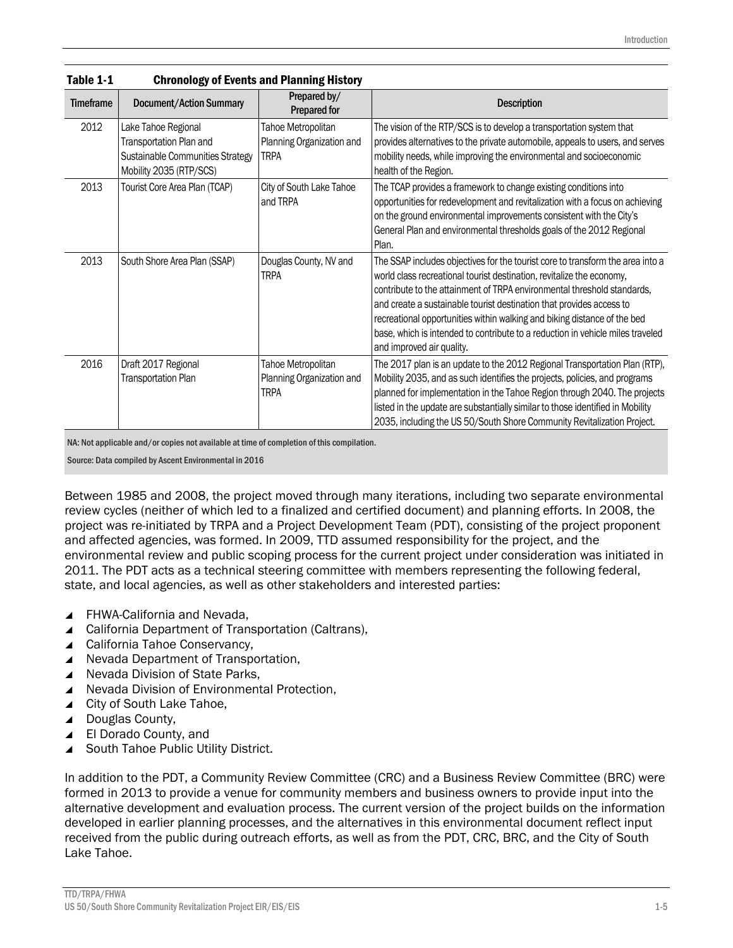| IANIV T.T        | UNIVIDIO SI U LIGNO ANG LIANGING NISLO I                                                                      |                                                                |                                                                                                                                                                                                                                                                                                                                                                                                                                                                                                       |  |  |  |  |
|------------------|---------------------------------------------------------------------------------------------------------------|----------------------------------------------------------------|-------------------------------------------------------------------------------------------------------------------------------------------------------------------------------------------------------------------------------------------------------------------------------------------------------------------------------------------------------------------------------------------------------------------------------------------------------------------------------------------------------|--|--|--|--|
| <b>Timeframe</b> | <b>Document/Action Summary</b>                                                                                | Prepared by/<br><b>Prepared for</b>                            | <b>Description</b>                                                                                                                                                                                                                                                                                                                                                                                                                                                                                    |  |  |  |  |
| 2012             | Lake Tahoe Regional<br>Transportation Plan and<br>Sustainable Communities Strategy<br>Mobility 2035 (RTP/SCS) | Tahoe Metropolitan<br>Planning Organization and<br>TRPA        | The vision of the RTP/SCS is to develop a transportation system that<br>provides alternatives to the private automobile, appeals to users, and serves<br>mobility needs, while improving the environmental and socioeconomic<br>health of the Region.                                                                                                                                                                                                                                                 |  |  |  |  |
| 2013             | Tourist Core Area Plan (TCAP)                                                                                 | City of South Lake Tahoe<br>and TRPA                           | The TCAP provides a framework to change existing conditions into<br>opportunities for redevelopment and revitalization with a focus on achieving<br>on the ground environmental improvements consistent with the City's<br>General Plan and environmental thresholds goals of the 2012 Regional<br>Plan.                                                                                                                                                                                              |  |  |  |  |
| 2013             | South Shore Area Plan (SSAP)                                                                                  | Douglas County, NV and<br><b>TRPA</b>                          | The SSAP includes objectives for the tourist core to transform the area into a<br>world class recreational tourist destination, revitalize the economy,<br>contribute to the attainment of TRPA environmental threshold standards,<br>and create a sustainable tourist destination that provides access to<br>recreational opportunities within walking and biking distance of the bed<br>base, which is intended to contribute to a reduction in vehicle miles traveled<br>and improved air quality. |  |  |  |  |
| 2016             | Draft 2017 Regional<br>Transportation Plan                                                                    | Tahoe Metropolitan<br>Planning Organization and<br><b>TRPA</b> | The 2017 plan is an update to the 2012 Regional Transportation Plan (RTP),<br>Mobility 2035, and as such identifies the projects, policies, and programs<br>planned for implementation in the Tahoe Region through 2040. The projects<br>listed in the update are substantially similar to those identified in Mobility<br>2035, including the US 50/South Shore Community Revitalization Project.                                                                                                    |  |  |  |  |

Table 1-1 Chronology of Events and Planning History

NA: Not applicable and/or copies not available at time of completion of this compilation.

Source: Data compiled by Ascent Environmental in 2016

Between 1985 and 2008, the project moved through many iterations, including two separate environmental review cycles (neither of which led to a finalized and certified document) and planning efforts. In 2008, the project was re-initiated by TRPA and a Project Development Team (PDT), consisting of the project proponent and affected agencies, was formed. In 2009, TTD assumed responsibility for the project, and the environmental review and public scoping process for the current project under consideration was initiated in 2011. The PDT acts as a technical steering committee with members representing the following federal, state, and local agencies, as well as other stakeholders and interested parties:

- ▲ FHWA-California and Nevada.
- ▲ California Department of Transportation (Caltrans),
- ▲ California Tahoe Conservancy,
- ▲ Nevada Department of Transportation,
- ▲ Nevada Division of State Parks,
- ▲ Nevada Division of Environmental Protection,
- ▲ City of South Lake Tahoe,
- ▲ Douglas County,
- ▲ El Dorado County, and
- ▲ South Tahoe Public Utility District.

In addition to the PDT, a Community Review Committee (CRC) and a Business Review Committee (BRC) were formed in 2013 to provide a venue for community members and business owners to provide input into the alternative development and evaluation process. The current version of the project builds on the information developed in earlier planning processes, and the alternatives in this environmental document reflect input received from the public during outreach efforts, as well as from the PDT, CRC, BRC, and the City of South Lake Tahoe.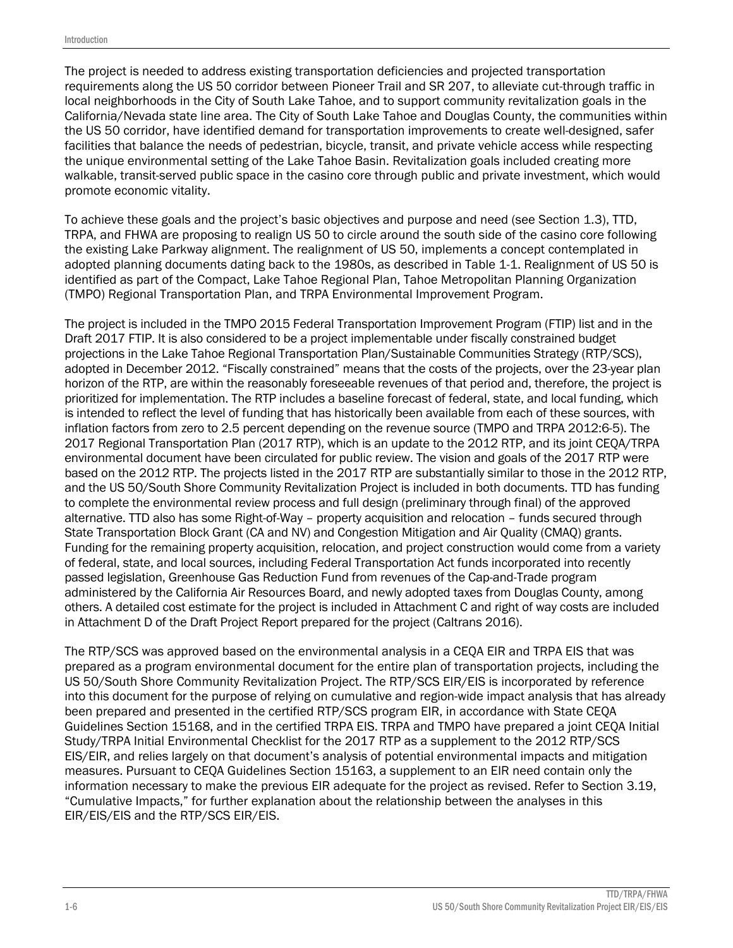The project is needed to address existing transportation deficiencies and projected transportation requirements along the US 50 corridor between Pioneer Trail and SR 207, to alleviate cut-through traffic in local neighborhoods in the City of South Lake Tahoe, and to support community revitalization goals in the California/Nevada state line area. The City of South Lake Tahoe and Douglas County, the communities within the US 50 corridor, have identified demand for transportation improvements to create well-designed, safer facilities that balance the needs of pedestrian, bicycle, transit, and private vehicle access while respecting the unique environmental setting of the Lake Tahoe Basin. Revitalization goals included creating more walkable, transit-served public space in the casino core through public and private investment, which would promote economic vitality.

To achieve these goals and the project's basic objectives and purpose and need (see Section 1.3), TTD, TRPA, and FHWA are proposing to realign US 50 to circle around the south side of the casino core following the existing Lake Parkway alignment. The realignment of US 50, implements a concept contemplated in adopted planning documents dating back to the 1980s, as described in Table 1-1. Realignment of US 50 is identified as part of the Compact, Lake Tahoe Regional Plan, Tahoe Metropolitan Planning Organization (TMPO) Regional Transportation Plan, and TRPA Environmental Improvement Program.

The project is included in the TMPO 2015 Federal Transportation Improvement Program (FTIP) list and in the Draft 2017 FTIP. It is also considered to be a project implementable under fiscally constrained budget projections in the Lake Tahoe Regional Transportation Plan/Sustainable Communities Strategy (RTP/SCS), adopted in December 2012. "Fiscally constrained" means that the costs of the projects, over the 23-year plan horizon of the RTP, are within the reasonably foreseeable revenues of that period and, therefore, the project is prioritized for implementation. The RTP includes a baseline forecast of federal, state, and local funding, which is intended to reflect the level of funding that has historically been available from each of these sources, with inflation factors from zero to 2.5 percent depending on the revenue source (TMPO and TRPA 2012:6-5). The 2017 Regional Transportation Plan (2017 RTP), which is an update to the 2012 RTP, and its joint CEQA/TRPA environmental document have been circulated for public review. The vision and goals of the 2017 RTP were based on the 2012 RTP. The projects listed in the 2017 RTP are substantially similar to those in the 2012 RTP, and the US 50/South Shore Community Revitalization Project is included in both documents. TTD has funding to complete the environmental review process and full design (preliminary through final) of the approved alternative. TTD also has some Right-of-Way – property acquisition and relocation – funds secured through State Transportation Block Grant (CA and NV) and Congestion Mitigation and Air Quality (CMAQ) grants. Funding for the remaining property acquisition, relocation, and project construction would come from a variety of federal, state, and local sources, including Federal Transportation Act funds incorporated into recently passed legislation, Greenhouse Gas Reduction Fund from revenues of the Cap-and-Trade program administered by the California Air Resources Board, and newly adopted taxes from Douglas County, among others. A detailed cost estimate for the project is included in Attachment C and right of way costs are included in Attachment D of the Draft Project Report prepared for the project (Caltrans 2016).

The RTP/SCS was approved based on the environmental analysis in a CEQA EIR and TRPA EIS that was prepared as a program environmental document for the entire plan of transportation projects, including the US 50/South Shore Community Revitalization Project. The RTP/SCS EIR/EIS is incorporated by reference into this document for the purpose of relying on cumulative and region-wide impact analysis that has already been prepared and presented in the certified RTP/SCS program EIR, in accordance with State CEQA Guidelines Section 15168, and in the certified TRPA EIS. TRPA and TMPO have prepared a joint CEQA Initial Study/TRPA Initial Environmental Checklist for the 2017 RTP as a supplement to the 2012 RTP/SCS EIS/EIR, and relies largely on that document's analysis of potential environmental impacts and mitigation measures. Pursuant to CEQA Guidelines Section 15163, a supplement to an EIR need contain only the information necessary to make the previous EIR adequate for the project as revised. Refer to Section 3.19, "Cumulative Impacts," for further explanation about the relationship between the analyses in this EIR/EIS/EIS and the RTP/SCS EIR/EIS.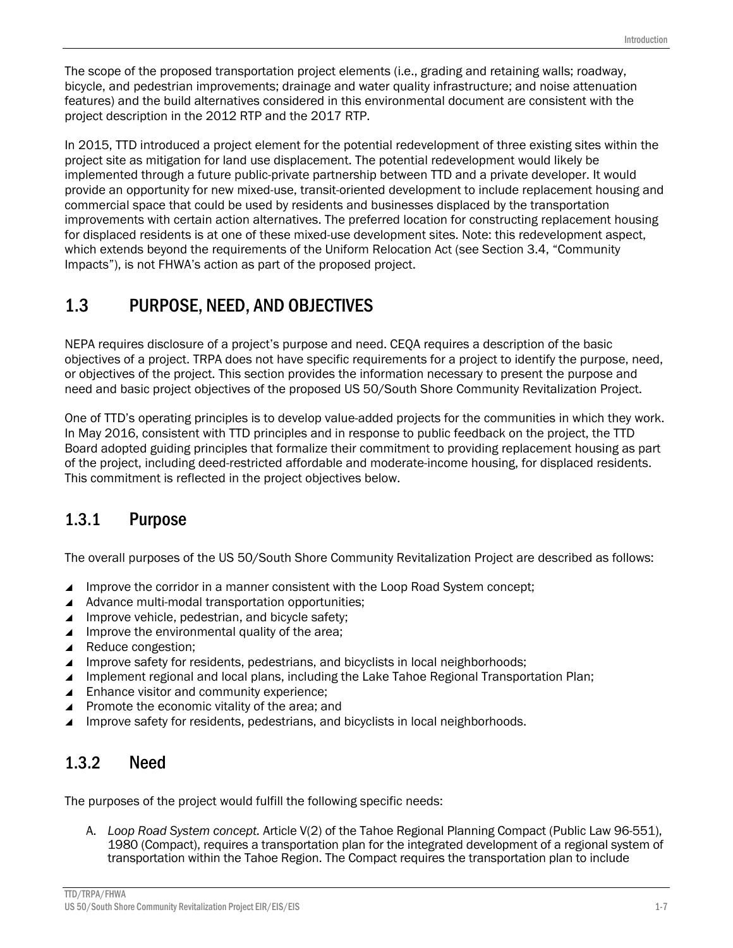The scope of the proposed transportation project elements (i.e., grading and retaining walls; roadway, bicycle, and pedestrian improvements; drainage and water quality infrastructure; and noise attenuation features) and the build alternatives considered in this environmental document are consistent with the project description in the 2012 RTP and the 2017 RTP.

In 2015, TTD introduced a project element for the potential redevelopment of three existing sites within the project site as mitigation for land use displacement. The potential redevelopment would likely be implemented through a future public-private partnership between TTD and a private developer. It would provide an opportunity for new mixed-use, transit-oriented development to include replacement housing and commercial space that could be used by residents and businesses displaced by the transportation improvements with certain action alternatives. The preferred location for constructing replacement housing for displaced residents is at one of these mixed-use development sites. Note: this redevelopment aspect, which extends beyond the requirements of the Uniform Relocation Act (see Section 3.4, "Community Impacts"), is not FHWA's action as part of the proposed project.

### 1.3 PURPOSE, NEED, AND OBJECTIVES

NEPA requires disclosure of a project's purpose and need. CEQA requires a description of the basic objectives of a project. TRPA does not have specific requirements for a project to identify the purpose, need, or objectives of the project. This section provides the information necessary to present the purpose and need and basic project objectives of the proposed US 50/South Shore Community Revitalization Project.

One of TTD's operating principles is to develop value-added projects for the communities in which they work. In May 2016, consistent with TTD principles and in response to public feedback on the project, the TTD Board adopted guiding principles that formalize their commitment to providing replacement housing as part of the project, including deed-restricted affordable and moderate-income housing, for displaced residents. This commitment is reflected in the project objectives below.

### 1.3.1 Purpose

The overall purposes of the US 50/South Shore Community Revitalization Project are described as follows:

- Improve the corridor in a manner consistent with the Loop Road System concept;
- $\blacktriangle$  Advance multi-modal transportation opportunities;
- ▲ Improve vehicle, pedestrian, and bicycle safety;
- Improve the environmental quality of the area;
- ▲ Reduce congestion:
- Improve safety for residents, pedestrians, and bicyclists in local neighborhoods;
- Implement regional and local plans, including the Lake Tahoe Regional Transportation Plan;
- **■** Enhance visitor and community experience;
- ▲ Promote the economic vitality of the area; and
- Improve safety for residents, pedestrians, and bicyclists in local neighborhoods.

#### 1.3.2 Need

The purposes of the project would fulfill the following specific needs:

A. *Loop Road System concept.* Article V(2) of the Tahoe Regional Planning Compact (Public Law 96-551), 1980 (Compact), requires a transportation plan for the integrated development of a regional system of transportation within the Tahoe Region. The Compact requires the transportation plan to include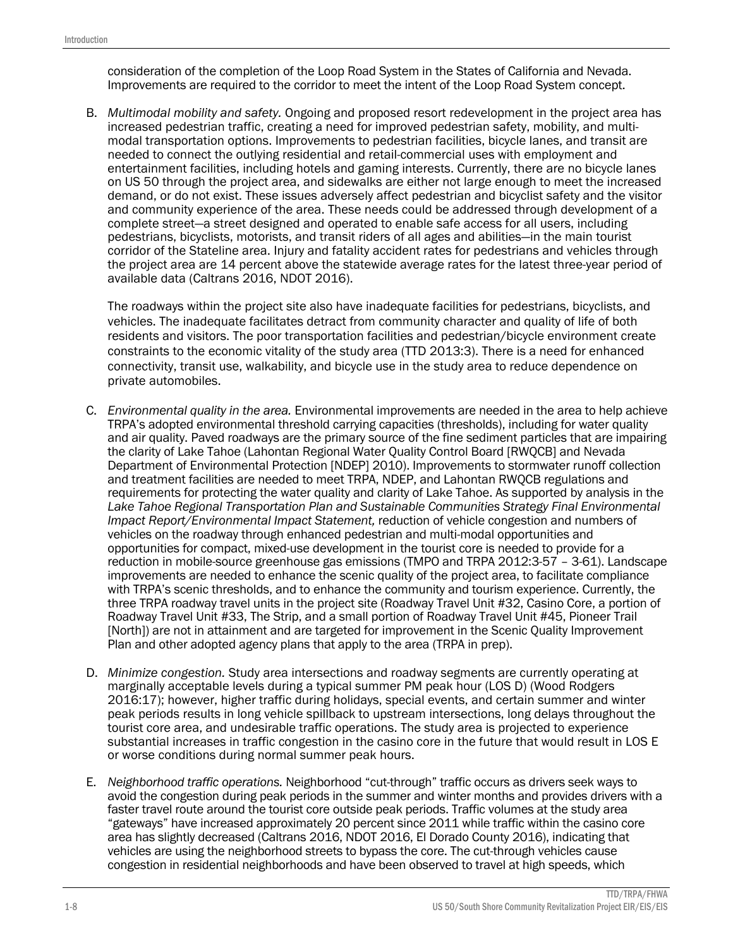consideration of the completion of the Loop Road System in the States of California and Nevada. Improvements are required to the corridor to meet the intent of the Loop Road System concept.

B. *Multimodal mobility and safety.* Ongoing and proposed resort redevelopment in the project area has increased pedestrian traffic, creating a need for improved pedestrian safety, mobility, and multimodal transportation options. Improvements to pedestrian facilities, bicycle lanes, and transit are needed to connect the outlying residential and retail-commercial uses with employment and entertainment facilities, including hotels and gaming interests. Currently, there are no bicycle lanes on US 50 through the project area, and sidewalks are either not large enough to meet the increased demand, or do not exist. These issues adversely affect pedestrian and bicyclist safety and the visitor and community experience of the area. These needs could be addressed through development of a complete street—a street designed and operated to enable safe access for all users, including pedestrians, bicyclists, motorists, and transit riders of all ages and abilities—in the main tourist corridor of the Stateline area. Injury and fatality accident rates for pedestrians and vehicles through the project area are 14 percent above the statewide average rates for the latest three-year period of available data (Caltrans 2016, NDOT 2016).

The roadways within the project site also have inadequate facilities for pedestrians, bicyclists, and vehicles. The inadequate facilitates detract from community character and quality of life of both residents and visitors. The poor transportation facilities and pedestrian/bicycle environment create constraints to the economic vitality of the study area (TTD 2013:3). There is a need for enhanced connectivity, transit use, walkability, and bicycle use in the study area to reduce dependence on private automobiles.

- C. *Environmental quality in the area.* Environmental improvements are needed in the area to help achieve TRPA's adopted environmental threshold carrying capacities (thresholds), including for water quality and air quality. Paved roadways are the primary source of the fine sediment particles that are impairing the clarity of Lake Tahoe (Lahontan Regional Water Quality Control Board [RWQCB] and Nevada Department of Environmental Protection [NDEP] 2010). Improvements to stormwater runoff collection and treatment facilities are needed to meet TRPA, NDEP, and Lahontan RWQCB regulations and requirements for protecting the water quality and clarity of Lake Tahoe. As supported by analysis in the *Lake Tahoe Regional Transportation Plan and Sustainable Communities Strategy Final Environmental Impact Report/Environmental Impact Statement,* reduction of vehicle congestion and numbers of vehicles on the roadway through enhanced pedestrian and multi-modal opportunities and opportunities for compact, mixed-use development in the tourist core is needed to provide for a reduction in mobile-source greenhouse gas emissions (TMPO and TRPA 2012:3-57 – 3-61). Landscape improvements are needed to enhance the scenic quality of the project area, to facilitate compliance with TRPA's scenic thresholds, and to enhance the community and tourism experience. Currently, the three TRPA roadway travel units in the project site (Roadway Travel Unit #32, Casino Core, a portion of Roadway Travel Unit #33, The Strip, and a small portion of Roadway Travel Unit #45, Pioneer Trail [North]) are not in attainment and are targeted for improvement in the Scenic Quality Improvement Plan and other adopted agency plans that apply to the area (TRPA in prep).
- D. *Minimize congestion.* Study area intersections and roadway segments are currently operating at marginally acceptable levels during a typical summer PM peak hour (LOS D) (Wood Rodgers 2016:17); however, higher traffic during holidays, special events, and certain summer and winter peak periods results in long vehicle spillback to upstream intersections, long delays throughout the tourist core area, and undesirable traffic operations. The study area is projected to experience substantial increases in traffic congestion in the casino core in the future that would result in LOS E or worse conditions during normal summer peak hours.
- E. *Neighborhood traffic operations.* Neighborhood "cut-through" traffic occurs as drivers seek ways to avoid the congestion during peak periods in the summer and winter months and provides drivers with a faster travel route around the tourist core outside peak periods. Traffic volumes at the study area "gateways" have increased approximately 20 percent since 2011 while traffic within the casino core area has slightly decreased (Caltrans 2016, NDOT 2016, El Dorado County 2016), indicating that vehicles are using the neighborhood streets to bypass the core. The cut-through vehicles cause congestion in residential neighborhoods and have been observed to travel at high speeds, which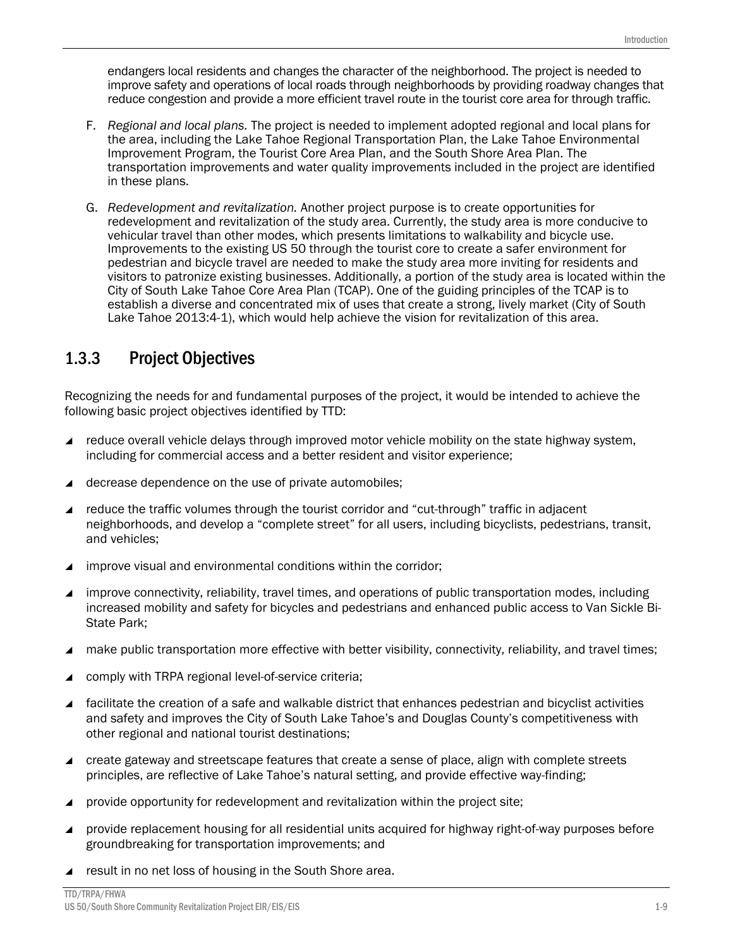endangers local residents and changes the character of the neighborhood. The project is needed to improve safety and operations of local roads through neighborhoods by providing roadway changes that reduce congestion and provide a more efficient travel route in the tourist core area for through traffic.

- F. *Regional and local plans.* The project is needed to implement adopted regional and local plans for the area, including the Lake Tahoe Regional Transportation Plan, the Lake Tahoe Environmental Improvement Program, the Tourist Core Area Plan, and the South Shore Area Plan. The transportation improvements and water quality improvements included in the project are identified in these plans.
- G. *Redevelopment and revitalization.* Another project purpose is to create opportunities for redevelopment and revitalization of the study area. Currently, the study area is more conducive to vehicular travel than other modes, which presents limitations to walkability and bicycle use. Improvements to the existing US 50 through the tourist core to create a safer environment for pedestrian and bicycle travel are needed to make the study area more inviting for residents and visitors to patronize existing businesses. Additionally, a portion of the study area is located within the City of South Lake Tahoe Core Area Plan (TCAP). One of the guiding principles of the TCAP is to establish a diverse and concentrated mix of uses that create a strong, lively market (City of South Lake Tahoe 2013:4-1), which would help achieve the vision for revitalization of this area.

#### 1.3.3 Project Objectives

Recognizing the needs for and fundamental purposes of the project, it would be intended to achieve the following basic project objectives identified by TTD:

- reduce overall vehicle delays through improved motor vehicle mobility on the state highway system, including for commercial access and a better resident and visitor experience;
- decrease dependence on the use of private automobiles;
- reduce the traffic volumes through the tourist corridor and "cut-through" traffic in adjacent neighborhoods, and develop a "complete street" for all users, including bicyclists, pedestrians, transit, and vehicles;
- improve visual and environmental conditions within the corridor;
- improve connectivity, reliability, travel times, and operations of public transportation modes, including increased mobility and safety for bicycles and pedestrians and enhanced public access to Van Sickle Bi-State Park;
- make public transportation more effective with better visibility, connectivity, reliability, and travel times;
- comply with TRPA regional level-of-service criteria;
- facilitate the creation of a safe and walkable district that enhances pedestrian and bicyclist activities and safety and improves the City of South Lake Tahoe's and Douglas County's competitiveness with other regional and national tourist destinations;
- create gateway and streetscape features that create a sense of place, align with complete streets principles, are reflective of Lake Tahoe's natural setting, and provide effective way-finding;
- provide opportunity for redevelopment and revitalization within the project site;
- provide replacement housing for all residential units acquired for highway right-of-way purposes before groundbreaking for transportation improvements; and
- $\blacktriangle$  result in no net loss of housing in the South Shore area.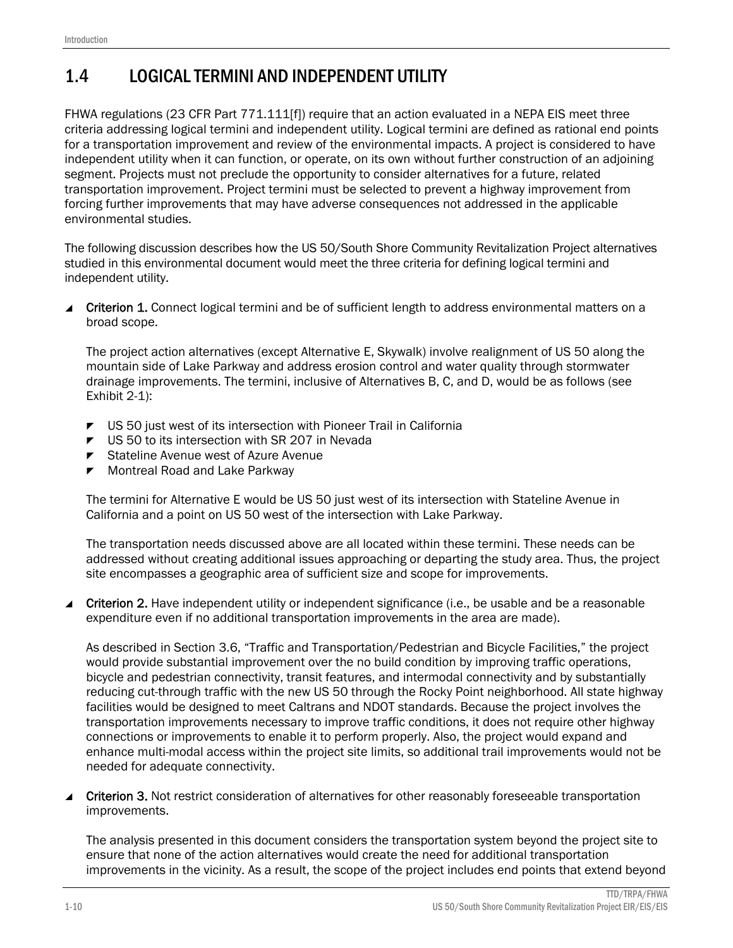### 1.4 LOGICAL TERMINI AND INDEPENDENT UTILITY

FHWA regulations (23 CFR Part 771.111[f]) require that an action evaluated in a NEPA EIS meet three criteria addressing logical termini and independent utility. Logical termini are defined as rational end points for a transportation improvement and review of the environmental impacts. A project is considered to have independent utility when it can function, or operate, on its own without further construction of an adjoining segment. Projects must not preclude the opportunity to consider alternatives for a future, related transportation improvement. Project termini must be selected to prevent a highway improvement from forcing further improvements that may have adverse consequences not addressed in the applicable environmental studies.

The following discussion describes how the US 50/South Shore Community Revitalization Project alternatives studied in this environmental document would meet the three criteria for defining logical termini and independent utility.

■ Criterion 1. Connect logical termini and be of sufficient length to address environmental matters on a broad scope.

The project action alternatives (except Alternative E, Skywalk) involve realignment of US 50 along the mountain side of Lake Parkway and address erosion control and water quality through stormwater drainage improvements. The termini, inclusive of Alternatives B, C, and D, would be as follows (see Exhibit 2-1):

- US 50 just west of its intersection with Pioneer Trail in California
- US 50 to its intersection with SR 207 in Nevada
- ▼ Stateline Avenue west of Azure Avenue
- $\blacktriangleright$  Montreal Road and Lake Parkway

The termini for Alternative E would be US 50 just west of its intersection with Stateline Avenue in California and a point on US 50 west of the intersection with Lake Parkway.

The transportation needs discussed above are all located within these termini. These needs can be addressed without creating additional issues approaching or departing the study area. Thus, the project site encompasses a geographic area of sufficient size and scope for improvements.

 Criterion 2. Have independent utility or independent significance (i.e., be usable and be a reasonable expenditure even if no additional transportation improvements in the area are made).

As described in Section 3.6, "Traffic and Transportation/Pedestrian and Bicycle Facilities," the project would provide substantial improvement over the no build condition by improving traffic operations, bicycle and pedestrian connectivity, transit features, and intermodal connectivity and by substantially reducing cut-through traffic with the new US 50 through the Rocky Point neighborhood. All state highway facilities would be designed to meet Caltrans and NDOT standards. Because the project involves the transportation improvements necessary to improve traffic conditions, it does not require other highway connections or improvements to enable it to perform properly. Also, the project would expand and enhance multi-modal access within the project site limits, so additional trail improvements would not be needed for adequate connectivity.

 Criterion 3. Not restrict consideration of alternatives for other reasonably foreseeable transportation improvements.

The analysis presented in this document considers the transportation system beyond the project site to ensure that none of the action alternatives would create the need for additional transportation improvements in the vicinity. As a result, the scope of the project includes end points that extend beyond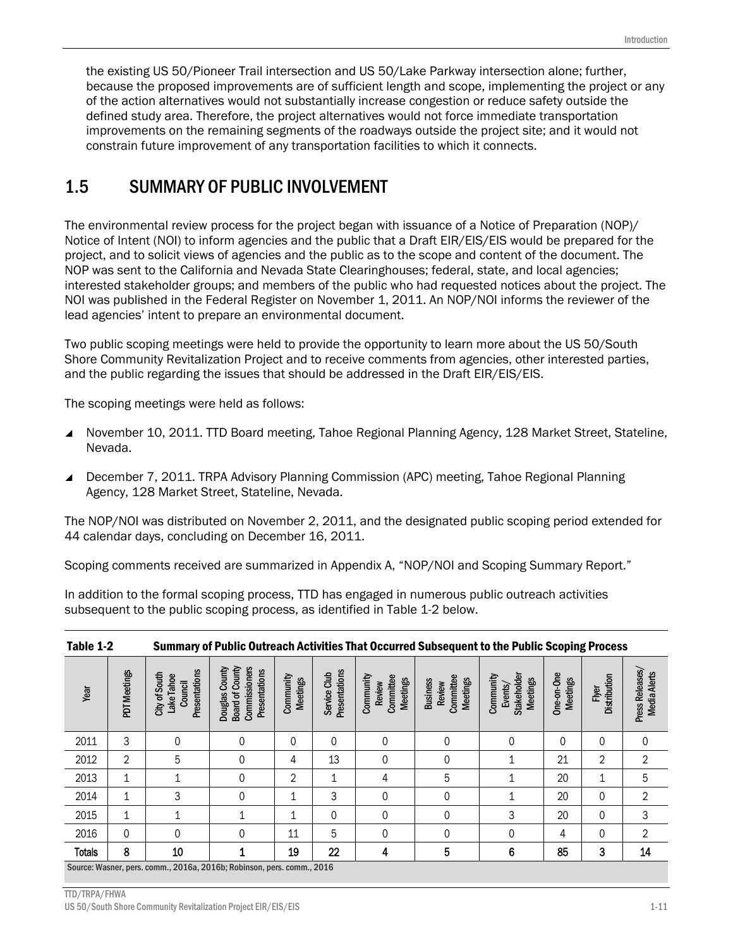the existing US 50/Pioneer Trail intersection and US 50/Lake Parkway intersection alone; further, because the proposed improvements are of sufficient length and scope, implementing the project or any of the action alternatives would not substantially increase congestion or reduce safety outside the defined study area. Therefore, the project alternatives would not force immediate transportation improvements on the remaining segments of the roadways outside the project site; and it would not constrain future improvement of any transportation facilities to which it connects.

#### 1.5 SUMMARY OF PUBLIC INVOLVEMENT

The environmental review process for the project began with issuance of a Notice of Preparation (NOP)/ Notice of Intent (NOI) to inform agencies and the public that a Draft EIR/EIS/EIS would be prepared for the project, and to solicit views of agencies and the public as to the scope and content of the document. The NOP was sent to the California and Nevada State Clearinghouses; federal, state, and local agencies; interested stakeholder groups; and members of the public who had requested notices about the project. The NOI was published in the Federal Register on November 1, 2011. An NOP/NOI informs the reviewer of the lead agencies' intent to prepare an environmental document.

Two public scoping meetings were held to provide the opportunity to learn more about the US 50/South Shore Community Revitalization Project and to receive comments from agencies, other interested parties, and the public regarding the issues that should be addressed in the Draft EIR/EIS/EIS.

The scoping meetings were held as follows:

- November 10, 2011. TTD Board meeting, Tahoe Regional Planning Agency, 128 Market Street, Stateline, Nevada.
- December 7, 2011. TRPA Advisory Planning Commission (APC) meeting, Tahoe Regional Planning Agency, 128 Market Street, Stateline, Nevada.

The NOP/NOI was distributed on November 2, 2011, and the designated public scoping period extended for 44 calendar days, concluding on December 16, 2011.

Scoping comments received are summarized in Appendix A, "NOP/NOI and Scoping Summary Report."

In addition to the formal scoping process, TTD has engaged in numerous public outreach activities subsequent to the public scoping process, as identified in Table 1-2 below.

| Table 1-2                                                       |                |                                                         | Summary of Public Outreach Activities That Occurred Subsequent to the Public Scoping Process |                       |                               |                                                            |                                                           |                                                               |                               |                       |                                 |
|-----------------------------------------------------------------|----------------|---------------------------------------------------------|----------------------------------------------------------------------------------------------|-----------------------|-------------------------------|------------------------------------------------------------|-----------------------------------------------------------|---------------------------------------------------------------|-------------------------------|-----------------------|---------------------------------|
| Year                                                            | PDT Meetings   | Presentations<br>City of South<br>Lake Tahoe<br>Council | <b>Board of County</b><br>Commissioners<br>Douglas County<br>Presentations                   | Community<br>Meetings | Presentations<br>Service Club | Community<br>Committee<br><b>Meetings</b><br><b>Review</b> | Committee<br><b>Meetings</b><br><b>Business</b><br>Review | <b>Stakeholder</b><br>Community<br><b>Meetings</b><br>Events/ | One-on-One<br><b>Meetings</b> | Distribution<br>Flyer | Press Releases/<br>Media Alerts |
| 2011                                                            | 3              | 0                                                       | $\mathbf{0}$                                                                                 | 0                     | $\Omega$                      | $\mathbf{0}$                                               | 0                                                         | 0                                                             | 0                             | 0                     | 0                               |
| 2012                                                            | $\overline{2}$ | 5                                                       | 0                                                                                            | 4                     | 13                            | 0                                                          | 0                                                         |                                                               | 21                            | $\overline{2}$        | $\mathbf{2}$                    |
| 2013                                                            | 1              |                                                         | 0                                                                                            | 2                     | 1                             | 4                                                          | 5                                                         | 1                                                             | 20                            | 1                     | 5                               |
| 2014                                                            | 1              | 3                                                       | 0                                                                                            | 1                     | 3                             | $\mathbf 0$                                                | 0                                                         |                                                               | 20                            | 0                     | $\overline{2}$                  |
| 2015                                                            | 1              |                                                         |                                                                                              | 1                     | 0                             | $\mathbf 0$                                                | 0                                                         | 3                                                             | 20                            | 0                     | 3                               |
| 2016                                                            | $\mathbf 0$    | 0                                                       | 0                                                                                            | 11                    | 5                             | $\mathbf{0}$                                               | $\Omega$                                                  | $\Omega$                                                      | 4                             | 0                     | $\overline{2}$                  |
| <b>Totals</b>                                                   | 8              | 10                                                      | 1                                                                                            | 19                    | 22                            | 4                                                          | 5                                                         | 6                                                             | 85                            | 3                     | 14                              |
| $\sim$ $\sim$<br>0.010<br>$\sum_{n=1}^{n}$<br>$0.0401$ $R_{11}$ |                |                                                         |                                                                                              |                       |                               |                                                            |                                                           |                                                               |                               |                       |                                 |

Table 1-2 Summary of Public Outreach Activities That Occurred Subsequent to the Public Scoping Process

Source: Wasner, pers. comm., 2016a, 2016b; Robinson, pers. comm., 2016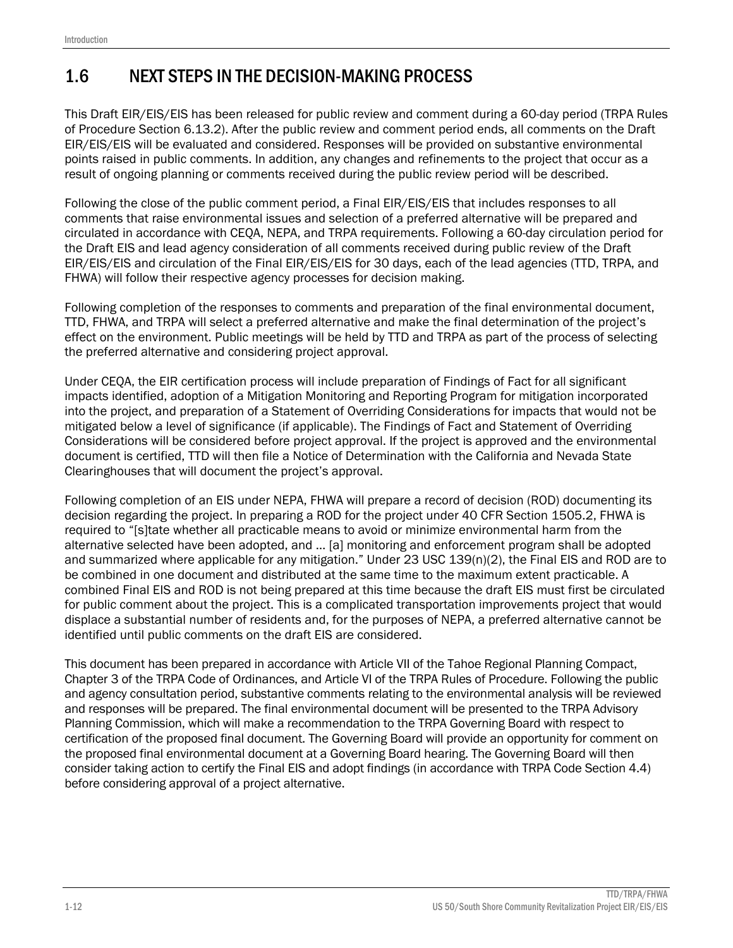### 1.6 NEXT STEPS IN THE DECISION-MAKING PROCESS

This Draft EIR/EIS/EIS has been released for public review and comment during a 60-day period (TRPA Rules of Procedure Section 6.13.2). After the public review and comment period ends, all comments on the Draft EIR/EIS/EIS will be evaluated and considered. Responses will be provided on substantive environmental points raised in public comments. In addition, any changes and refinements to the project that occur as a result of ongoing planning or comments received during the public review period will be described.

Following the close of the public comment period, a Final EIR/EIS/EIS that includes responses to all comments that raise environmental issues and selection of a preferred alternative will be prepared and circulated in accordance with CEQA, NEPA, and TRPA requirements. Following a 60-day circulation period for the Draft EIS and lead agency consideration of all comments received during public review of the Draft EIR/EIS/EIS and circulation of the Final EIR/EIS/EIS for 30 days, each of the lead agencies (TTD, TRPA, and FHWA) will follow their respective agency processes for decision making.

Following completion of the responses to comments and preparation of the final environmental document, TTD, FHWA, and TRPA will select a preferred alternative and make the final determination of the project's effect on the environment. Public meetings will be held by TTD and TRPA as part of the process of selecting the preferred alternative and considering project approval.

Under CEQA, the EIR certification process will include preparation of Findings of Fact for all significant impacts identified, adoption of a Mitigation Monitoring and Reporting Program for mitigation incorporated into the project, and preparation of a Statement of Overriding Considerations for impacts that would not be mitigated below a level of significance (if applicable). The Findings of Fact and Statement of Overriding Considerations will be considered before project approval. If the project is approved and the environmental document is certified, TTD will then file a Notice of Determination with the California and Nevada State Clearinghouses that will document the project's approval.

Following completion of an EIS under NEPA, FHWA will prepare a record of decision (ROD) documenting its decision regarding the project. In preparing a ROD for the project under 40 CFR Section 1505.2, FHWA is required to "[s]tate whether all practicable means to avoid or minimize environmental harm from the alternative selected have been adopted, and … [a] monitoring and enforcement program shall be adopted and summarized where applicable for any mitigation." Under 23 USC 139(n)(2), the Final EIS and ROD are to be combined in one document and distributed at the same time to the maximum extent practicable. A combined Final EIS and ROD is not being prepared at this time because the draft EIS must first be circulated for public comment about the project. This is a complicated transportation improvements project that would displace a substantial number of residents and, for the purposes of NEPA, a preferred alternative cannot be identified until public comments on the draft EIS are considered.

This document has been prepared in accordance with Article VII of the Tahoe Regional Planning Compact, Chapter 3 of the TRPA Code of Ordinances, and Article VI of the TRPA Rules of Procedure. Following the public and agency consultation period, substantive comments relating to the environmental analysis will be reviewed and responses will be prepared. The final environmental document will be presented to the TRPA Advisory Planning Commission, which will make a recommendation to the TRPA Governing Board with respect to certification of the proposed final document. The Governing Board will provide an opportunity for comment on the proposed final environmental document at a Governing Board hearing. The Governing Board will then consider taking action to certify the Final EIS and adopt findings (in accordance with TRPA Code Section 4.4) before considering approval of a project alternative.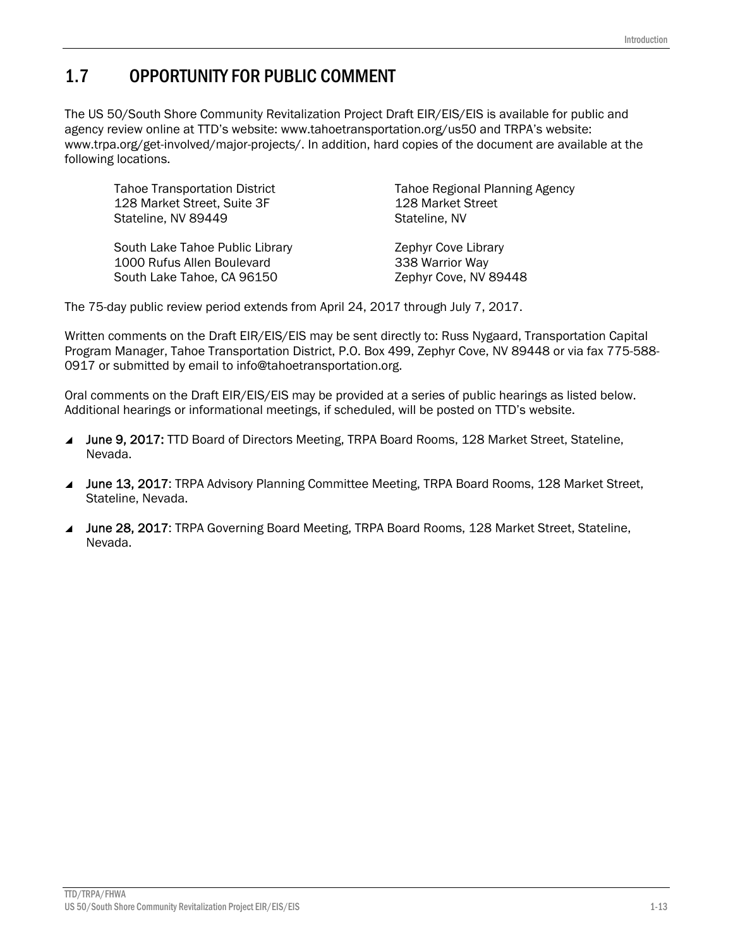### 1.7 OPPORTUNITY FOR PUBLIC COMMENT

The US 50/South Shore Community Revitalization Project Draft EIR/EIS/EIS is available for public and agency review online at TTD's website: www.tahoetransportation.org/us50 and TRPA's website: www.trpa.org/get-involved/major-projects/. In addition, hard copies of the document are available at the following locations.

Tahoe Transportation District 128 Market Street, Suite 3F Stateline, NV 89449

South Lake Tahoe Public Library 1000 Rufus Allen Boulevard South Lake Tahoe, CA 96150

Tahoe Regional Planning Agency 128 Market Street Stateline, NV

Zephyr Cove Library 338 Warrior Way Zephyr Cove, NV 89448

The 75-day public review period extends from April 24, 2017 through July 7, 2017.

Written comments on the Draft EIR/EIS/EIS may be sent directly to: Russ Nygaard, Transportation Capital Program Manager, Tahoe Transportation District, P.O. Box 499, Zephyr Cove, NV 89448 or via fax 775-588- 0917 or submitted by email to info@tahoetransportation.org.

Oral comments on the Draft EIR/EIS/EIS may be provided at a series of public hearings as listed below. Additional hearings or informational meetings, if scheduled, will be posted on TTD's website.

- June 9, 2017: TTD Board of Directors Meeting, TRPA Board Rooms, 128 Market Street, Stateline, Nevada.
- ▲ June 13, 2017: TRPA Advisory Planning Committee Meeting, TRPA Board Rooms, 128 Market Street, Stateline, Nevada.
- June 28, 2017: TRPA Governing Board Meeting, TRPA Board Rooms, 128 Market Street, Stateline, Nevada.